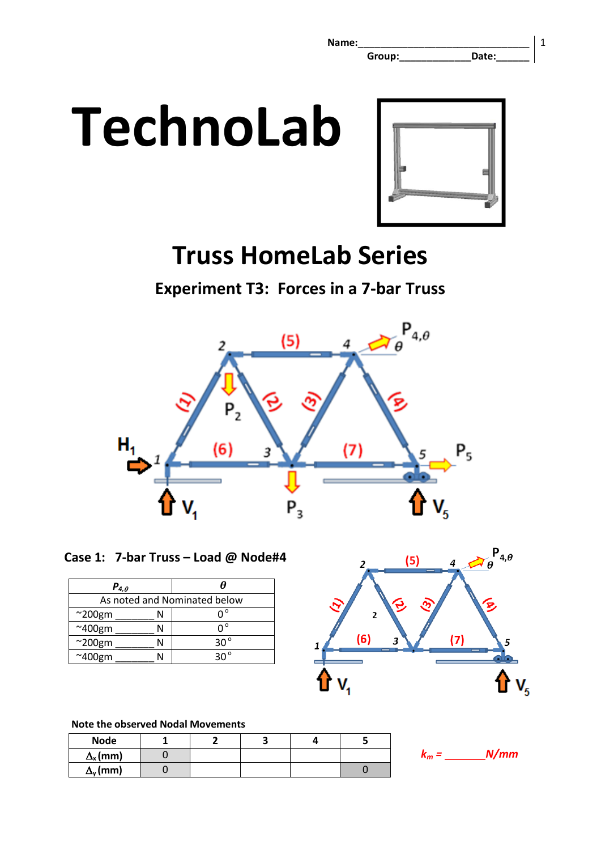

# **Truss HomeLab Series**

**Experiment T3: Forces in a 7-bar Truss**



**Case 1: 7-bar Truss – Load @ Node#4** 

| $P_{4,\theta}$               |              |  |  |  |
|------------------------------|--------------|--|--|--|
| As noted and Nominated below |              |  |  |  |
| $^{\sim}$ 200gm              | n°           |  |  |  |
| $~\sim$ 400gm                | ∩°           |  |  |  |
| $~\sim$ 200gm                | $30^{\circ}$ |  |  |  |
| $~\sim$ 400gm                |              |  |  |  |



# **Note the observed Nodal Movements**

| <b>Node</b>           |  |  |  |
|-----------------------|--|--|--|
| $\Delta_{\rm x}$ (mm) |  |  |  |
| $\Delta_{\rm v}$ (mm) |  |  |  |

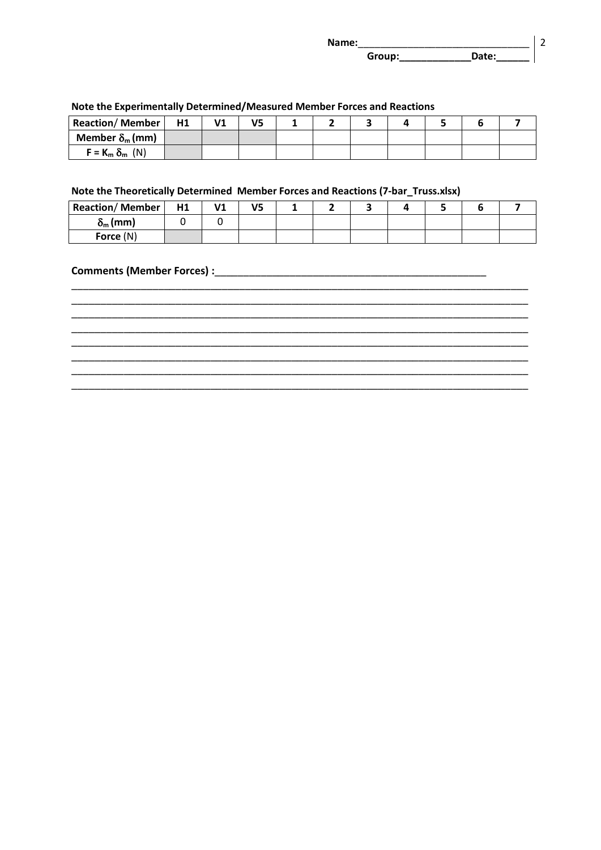| Name: |        |       |  |
|-------|--------|-------|--|
|       | Group: | Date: |  |

| <b>Reaction/Member</b>       | <b>H1</b> | V <sub>1</sub> | V5 |  |  |  |  |  |  |
|------------------------------|-----------|----------------|----|--|--|--|--|--|--|
| Member $\delta_{\rm m}$ (mm) |           |                |    |  |  |  |  |  |  |
| $F = K_m \delta_m$ (N)       |           |                |    |  |  |  |  |  |  |

#### Note the Experimentally Determined/Measured Member Forces and Reactions

# Note the Theoretically Determined Member Forces and Reactions (7-bar\_Truss.xlsx)

| <b>Reaction/Member</b> | H1 | V1 | V5 |  |  |  |  |
|------------------------|----|----|----|--|--|--|--|
| $\delta_{\rm m}$ (mm)  |    |    |    |  |  |  |  |
| Force (N)              |    |    |    |  |  |  |  |

#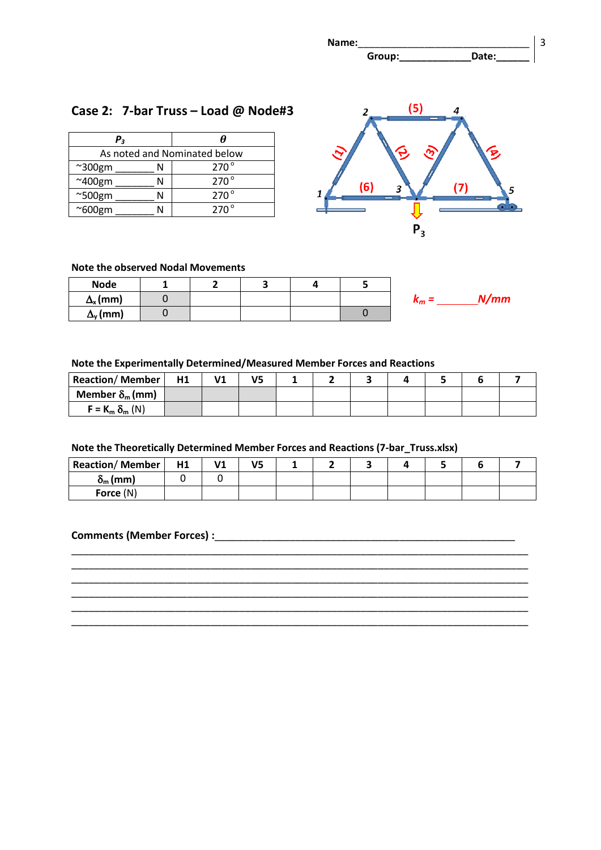

# **Case 2: 7-bar Truss – Load @ Node#3**

| $P_{3}$                      | A             |  |  |  |
|------------------------------|---------------|--|--|--|
| As noted and Nominated below |               |  |  |  |
| $~\sim$ 300gm                | $270^{\circ}$ |  |  |  |
| $~\sim$ 400gm                | $270^{\circ}$ |  |  |  |
| $^{\sim}$ 500gm              | $270^{\circ}$ |  |  |  |
| $^{\sim}600$ gm              | $270^\circ$   |  |  |  |



#### **Note the observed Nodal Movements**

| <b>Node</b>           | ۰ |  |               |
|-----------------------|---|--|---------------|
| $\Delta_{\rm x}$ (mm) |   |  | N/mm<br>$n_m$ |
| $\Delta_{\rm v}$ (mm) |   |  |               |

#### **Note the Experimentally Determined/Measured Member Forces and Reactions**

| <b>Reaction/Member</b>       | <b>H1</b> | V <sub>1</sub> |  |  |  |  |
|------------------------------|-----------|----------------|--|--|--|--|
| Member $\delta_{\rm m}$ (mm) |           |                |  |  |  |  |
| $F = K_m \delta_m (N)$       |           |                |  |  |  |  |

#### **Note the Theoretically Determined Member Forces and Reactions (7-bar\_Truss.xlsx)**

| <b>Reaction/Member</b> | H1 | ۷1 | V5 |  |  |  |  |
|------------------------|----|----|----|--|--|--|--|
| $\delta_{\rm m}$ (mm)  |    |    |    |  |  |  |  |
| Force (N)              |    |    |    |  |  |  |  |

\_\_\_\_\_\_\_\_\_\_\_\_\_\_\_\_\_\_\_\_\_\_\_\_\_\_\_\_\_\_\_\_\_\_\_\_\_\_\_\_\_\_\_\_\_\_\_\_\_\_\_\_\_\_\_\_\_\_\_\_\_\_\_\_\_\_\_\_\_\_\_\_\_\_\_\_\_\_\_ \_\_\_\_\_\_\_\_\_\_\_\_\_\_\_\_\_\_\_\_\_\_\_\_\_\_\_\_\_\_\_\_\_\_\_\_\_\_\_\_\_\_\_\_\_\_\_\_\_\_\_\_\_\_\_\_\_\_\_\_\_\_\_\_\_\_\_\_\_\_\_\_\_\_\_\_\_\_\_ \_\_\_\_\_\_\_\_\_\_\_\_\_\_\_\_\_\_\_\_\_\_\_\_\_\_\_\_\_\_\_\_\_\_\_\_\_\_\_\_\_\_\_\_\_\_\_\_\_\_\_\_\_\_\_\_\_\_\_\_\_\_\_\_\_\_\_\_\_\_\_\_\_\_\_\_\_\_\_ \_\_\_\_\_\_\_\_\_\_\_\_\_\_\_\_\_\_\_\_\_\_\_\_\_\_\_\_\_\_\_\_\_\_\_\_\_\_\_\_\_\_\_\_\_\_\_\_\_\_\_\_\_\_\_\_\_\_\_\_\_\_\_\_\_\_\_\_\_\_\_\_\_\_\_\_\_\_\_ \_\_\_\_\_\_\_\_\_\_\_\_\_\_\_\_\_\_\_\_\_\_\_\_\_\_\_\_\_\_\_\_\_\_\_\_\_\_\_\_\_\_\_\_\_\_\_\_\_\_\_\_\_\_\_\_\_\_\_\_\_\_\_\_\_\_\_\_\_\_\_\_\_\_\_\_\_\_\_ \_\_\_\_\_\_\_\_\_\_\_\_\_\_\_\_\_\_\_\_\_\_\_\_\_\_\_\_\_\_\_\_\_\_\_\_\_\_\_\_\_\_\_\_\_\_\_\_\_\_\_\_\_\_\_\_\_\_\_\_\_\_\_\_\_\_\_\_\_\_\_\_\_\_\_\_\_\_\_

#### **Comments (Member Forces) :**\_\_\_\_\_\_\_\_\_\_\_\_\_\_\_\_\_\_\_\_\_\_\_\_\_\_\_\_\_\_\_\_\_\_\_\_\_\_\_\_\_\_\_\_\_\_\_\_\_\_\_\_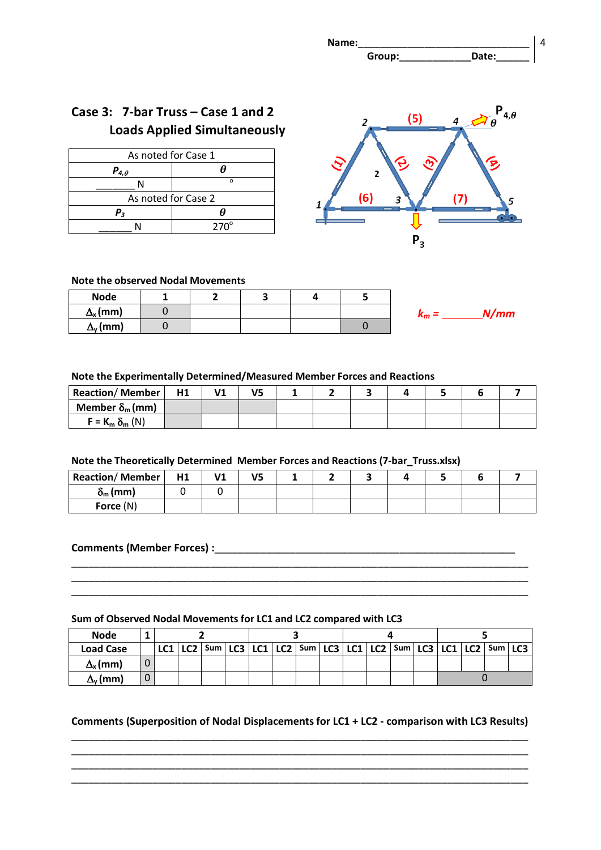

# **Case 3: 7-bar Truss – Case 1 and 2 Loads Applied Simultaneously**

| As noted for Case 1 |             |  |  |  |  |
|---------------------|-------------|--|--|--|--|
| $P_{4,\theta}$      |             |  |  |  |  |
| NI                  | n           |  |  |  |  |
| As noted for Case 2 |             |  |  |  |  |
| Ρ,                  | н           |  |  |  |  |
|                     | $270^\circ$ |  |  |  |  |



#### **Note the observed Nodal Movements**

| <b>Node</b>           |  |  |            |
|-----------------------|--|--|------------|
| $\Delta_{\rm x}$ (mm) |  |  | N/mm<br>rт |
| $\Delta_{\rm v}$ (mm) |  |  |            |

#### **Note the Experimentally Determined/Measured Member Forces and Reactions**

| <b>Reaction/Member</b>       | H1 | V1 | V5 |  |  |  |  |
|------------------------------|----|----|----|--|--|--|--|
| Member $\delta_{\rm m}$ (mm) |    |    |    |  |  |  |  |
| $F = K_m \delta_m (N)$       |    |    |    |  |  |  |  |

#### **Note the Theoretically Determined Member Forces and Reactions (7-bar\_Truss.xlsx)**

| <b>Reaction/Member</b> | H1 | ۷1 | V5 |  |  |  |  |
|------------------------|----|----|----|--|--|--|--|
| $\delta_{\rm m}$ (mm)  |    |    |    |  |  |  |  |
| Force $(N)$            |    |    |    |  |  |  |  |

\_\_\_\_\_\_\_\_\_\_\_\_\_\_\_\_\_\_\_\_\_\_\_\_\_\_\_\_\_\_\_\_\_\_\_\_\_\_\_\_\_\_\_\_\_\_\_\_\_\_\_\_\_\_\_\_\_\_\_\_\_\_\_\_\_\_\_\_\_\_\_\_\_\_\_\_\_\_\_ \_\_\_\_\_\_\_\_\_\_\_\_\_\_\_\_\_\_\_\_\_\_\_\_\_\_\_\_\_\_\_\_\_\_\_\_\_\_\_\_\_\_\_\_\_\_\_\_\_\_\_\_\_\_\_\_\_\_\_\_\_\_\_\_\_\_\_\_\_\_\_\_\_\_\_\_\_\_\_ \_\_\_\_\_\_\_\_\_\_\_\_\_\_\_\_\_\_\_\_\_\_\_\_\_\_\_\_\_\_\_\_\_\_\_\_\_\_\_\_\_\_\_\_\_\_\_\_\_\_\_\_\_\_\_\_\_\_\_\_\_\_\_\_\_\_\_\_\_\_\_\_\_\_\_\_\_\_\_

#### **Comments (Member Forces) :**\_\_\_\_\_\_\_\_\_\_\_\_\_\_\_\_\_\_\_\_\_\_\_\_\_\_\_\_\_\_\_\_\_\_\_\_\_\_\_\_\_\_\_\_\_\_\_\_\_\_\_\_

#### **Sum of Observed Nodal Movements for LC1 and LC2 compared with LC3**

| <b>Node</b>           |   |  |  |  |  |  |  |  |                                                                                               |  |  |  |  |  |
|-----------------------|---|--|--|--|--|--|--|--|-----------------------------------------------------------------------------------------------|--|--|--|--|--|
| <b>Load Case</b>      |   |  |  |  |  |  |  |  | LC1   LC2   Sum   LC3   LC1   LC2   Sum   LC3   LC1   LC2   Sum   LC3   LC1   LC2   Sum   LC3 |  |  |  |  |  |
| $\Delta_{\rm x}$ (mm) |   |  |  |  |  |  |  |  |                                                                                               |  |  |  |  |  |
| $\Delta_{\sf v}$ (mm) | 0 |  |  |  |  |  |  |  |                                                                                               |  |  |  |  |  |

### **Comments (Superposition of Nodal Displacements for LC1 + LC2 - comparison with LC3 Results)** \_\_\_\_\_\_\_\_\_\_\_\_\_\_\_\_\_\_\_\_\_\_\_\_\_\_\_\_\_\_\_\_\_\_\_\_\_\_\_\_\_\_\_\_\_\_\_\_\_\_\_\_\_\_\_\_\_\_\_\_\_\_\_\_\_\_\_\_\_\_\_\_\_\_\_\_\_\_\_

\_\_\_\_\_\_\_\_\_\_\_\_\_\_\_\_\_\_\_\_\_\_\_\_\_\_\_\_\_\_\_\_\_\_\_\_\_\_\_\_\_\_\_\_\_\_\_\_\_\_\_\_\_\_\_\_\_\_\_\_\_\_\_\_\_\_\_\_\_\_\_\_\_\_\_\_\_\_\_ \_\_\_\_\_\_\_\_\_\_\_\_\_\_\_\_\_\_\_\_\_\_\_\_\_\_\_\_\_\_\_\_\_\_\_\_\_\_\_\_\_\_\_\_\_\_\_\_\_\_\_\_\_\_\_\_\_\_\_\_\_\_\_\_\_\_\_\_\_\_\_\_\_\_\_\_\_\_\_ \_\_\_\_\_\_\_\_\_\_\_\_\_\_\_\_\_\_\_\_\_\_\_\_\_\_\_\_\_\_\_\_\_\_\_\_\_\_\_\_\_\_\_\_\_\_\_\_\_\_\_\_\_\_\_\_\_\_\_\_\_\_\_\_\_\_\_\_\_\_\_\_\_\_\_\_\_\_\_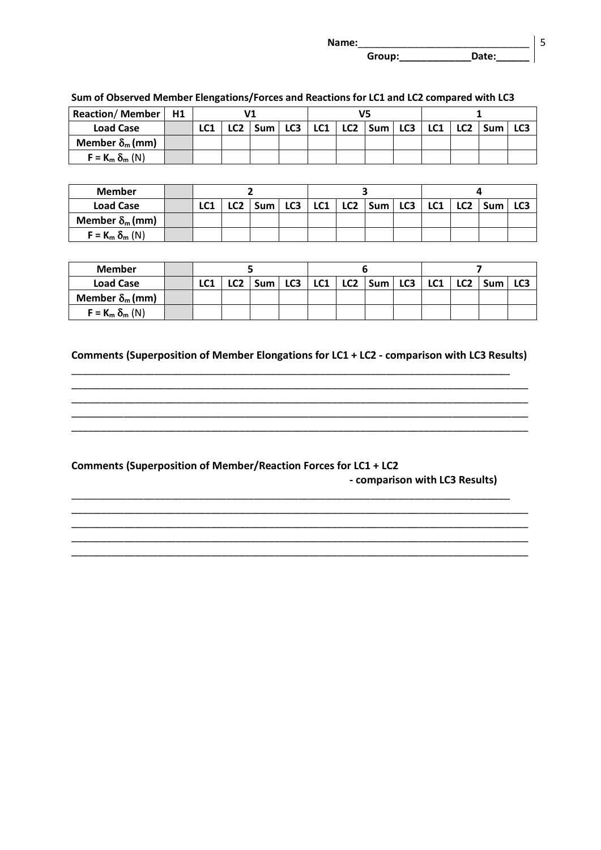| Name: |        |       |  |
|-------|--------|-------|--|
|       | Group: | יe†ב∩ |  |

| <b>Reaction/Member</b>       | H1 |     |                 |       |     |     |  |                         |  |     |                 |            |  |
|------------------------------|----|-----|-----------------|-------|-----|-----|--|-------------------------|--|-----|-----------------|------------|--|
| <b>Load Case</b>             |    | LC1 | LC <sub>2</sub> | Sum l | LC3 | LC1 |  | $ $ LC2 $ $ Sum $ $ LC3 |  | LC1 | LC <sub>2</sub> | <b>Sum</b> |  |
| Member $\delta_{\rm m}$ (mm) |    |     |                 |       |     |     |  |                         |  |     |                 |            |  |
| $F = K_m \delta_m (N)$       |    |     |                 |       |     |     |  |                         |  |     |                 |            |  |

#### **Sum of Observed Member Elengations/Forces and Reactions for LC1 and LC2 compared with LC3**

| <b>Member</b>                |     |      |       |     |  |  |                                                 |  |  |  |  |  |
|------------------------------|-----|------|-------|-----|--|--|-------------------------------------------------|--|--|--|--|--|
| <b>Load Case</b>             | LC1 | רה ו | Sum l | LC3 |  |  | $LC1$   LC2   Sum   LC3   LC1   LC2   Sum   LC3 |  |  |  |  |  |
| Member $\delta_{\rm m}$ (mm) |     |      |       |     |  |  |                                                 |  |  |  |  |  |
| $F = K_m \delta_m (N)$       |     |      |       |     |  |  |                                                 |  |  |  |  |  |

| <b>Member</b>                |     |                 |       |                 |  |                             |  |  |                       |  |
|------------------------------|-----|-----------------|-------|-----------------|--|-----------------------------|--|--|-----------------------|--|
| <b>Load Case</b>             | LC1 | LC <sub>2</sub> | Sum l | LC <sub>3</sub> |  | $LC1$   $LC2$   Sum   $LC3$ |  |  | LC1   LC2   Sum   LC3 |  |
| Member $\delta_{\rm m}$ (mm) |     |                 |       |                 |  |                             |  |  |                       |  |
| $F = K_m \delta_m (N)$       |     |                 |       |                 |  |                             |  |  |                       |  |

#### **Comments (Superposition of Member Elongations for LC1 + LC2 - comparison with LC3 Results)**

\_\_\_\_\_\_\_\_\_\_\_\_\_\_\_\_\_\_\_\_\_\_\_\_\_\_\_\_\_\_\_\_\_\_\_\_\_\_\_\_\_\_\_\_\_\_\_\_\_\_\_\_\_\_\_\_\_\_\_\_\_\_\_\_\_\_\_\_\_\_\_\_\_\_\_\_\_\_\_ \_\_\_\_\_\_\_\_\_\_\_\_\_\_\_\_\_\_\_\_\_\_\_\_\_\_\_\_\_\_\_\_\_\_\_\_\_\_\_\_\_\_\_\_\_\_\_\_\_\_\_\_\_\_\_\_\_\_\_\_\_\_\_\_\_\_\_\_\_\_\_\_\_\_\_\_\_\_\_ \_\_\_\_\_\_\_\_\_\_\_\_\_\_\_\_\_\_\_\_\_\_\_\_\_\_\_\_\_\_\_\_\_\_\_\_\_\_\_\_\_\_\_\_\_\_\_\_\_\_\_\_\_\_\_\_\_\_\_\_\_\_\_\_\_\_\_\_\_\_\_\_\_\_\_\_\_\_\_ \_\_\_\_\_\_\_\_\_\_\_\_\_\_\_\_\_\_\_\_\_\_\_\_\_\_\_\_\_\_\_\_\_\_\_\_\_\_\_\_\_\_\_\_\_\_\_\_\_\_\_\_\_\_\_\_\_\_\_\_\_\_\_\_\_\_\_\_\_\_\_\_\_\_\_\_\_\_\_ \_\_\_\_\_\_\_\_\_\_\_\_\_\_\_\_\_\_\_\_\_\_\_\_\_\_\_\_\_\_\_\_\_\_\_\_\_\_\_\_\_\_\_\_\_\_\_\_\_\_\_\_\_\_\_\_\_\_\_\_\_\_\_\_\_\_\_\_\_\_\_\_\_\_\_\_\_\_\_

\_\_\_\_\_\_\_\_\_\_\_\_\_\_\_\_\_\_\_\_\_\_\_\_\_\_\_\_\_\_\_\_\_\_\_\_\_\_\_\_\_\_\_\_\_\_\_\_\_\_\_\_\_\_\_\_\_\_\_\_\_\_\_\_\_\_\_\_\_\_\_\_\_\_\_\_\_\_\_ \_\_\_\_\_\_\_\_\_\_\_\_\_\_\_\_\_\_\_\_\_\_\_\_\_\_\_\_\_\_\_\_\_\_\_\_\_\_\_\_\_\_\_\_\_\_\_\_\_\_\_\_\_\_\_\_\_\_\_\_\_\_\_\_\_\_\_\_\_\_\_\_\_\_\_\_\_\_\_ \_\_\_\_\_\_\_\_\_\_\_\_\_\_\_\_\_\_\_\_\_\_\_\_\_\_\_\_\_\_\_\_\_\_\_\_\_\_\_\_\_\_\_\_\_\_\_\_\_\_\_\_\_\_\_\_\_\_\_\_\_\_\_\_\_\_\_\_\_\_\_\_\_\_\_\_\_\_\_ \_\_\_\_\_\_\_\_\_\_\_\_\_\_\_\_\_\_\_\_\_\_\_\_\_\_\_\_\_\_\_\_\_\_\_\_\_\_\_\_\_\_\_\_\_\_\_\_\_\_\_\_\_\_\_\_\_\_\_\_\_\_\_\_\_\_\_\_\_\_\_\_\_\_\_\_\_\_\_ \_\_\_\_\_\_\_\_\_\_\_\_\_\_\_\_\_\_\_\_\_\_\_\_\_\_\_\_\_\_\_\_\_\_\_\_\_\_\_\_\_\_\_\_\_\_\_\_\_\_\_\_\_\_\_\_\_\_\_\_\_\_\_\_\_\_\_\_\_\_\_\_\_\_\_\_\_\_\_

#### **Comments (Superposition of Member/Reaction Forces for LC1 + LC2**

 **- comparison with LC3 Results)**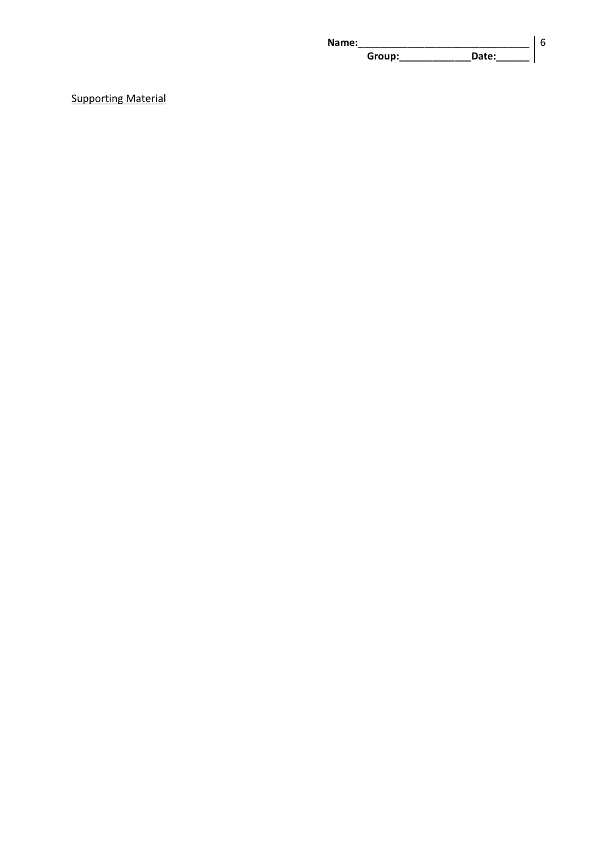| Name: |        |       |  |
|-------|--------|-------|--|
|       | Group: | Date: |  |

# Supporting Material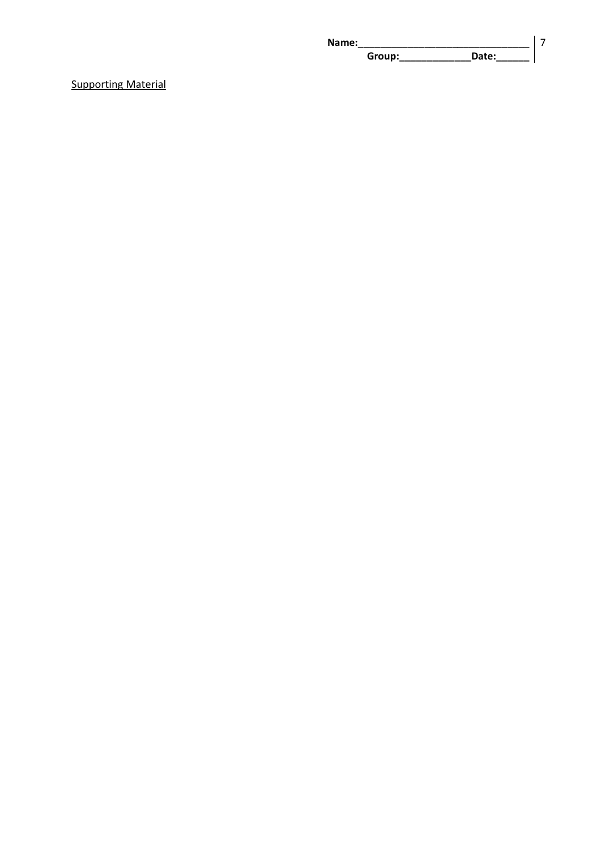| Name: |        |       |  |
|-------|--------|-------|--|
|       | Group: | Date: |  |

Supporting Material